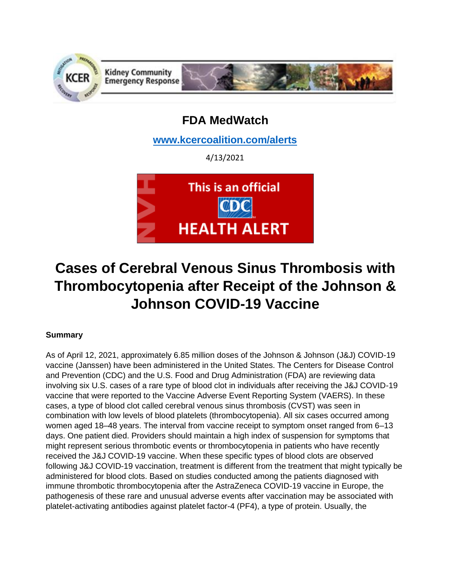

# **FDA MedWatch**

**[www.kcercoalition.com/alerts](http://www.kcercoalition.com/alerts)**

4/13/2021



# **Cases of Cerebral Venous Sinus Thrombosis with Thrombocytopenia after Receipt of the Johnson & Johnson COVID-19 Vaccine**

## **Summary**

As of April 12, 2021, approximately 6.85 million doses of the Johnson & Johnson (J&J) COVID-19 vaccine (Janssen) have been administered in the United States. The Centers for Disease Control and Prevention (CDC) and the U.S. Food and Drug Administration (FDA) are reviewing data involving six U.S. cases of a rare type of blood clot in individuals after receiving the J&J COVID-19 vaccine that were reported to the Vaccine Adverse Event Reporting System (VAERS). In these cases, a type of blood clot called cerebral venous sinus thrombosis (CVST) was seen in combination with low levels of blood platelets (thrombocytopenia). All six cases occurred among women aged 18–48 years. The interval from vaccine receipt to symptom onset ranged from 6–13 days. One patient died. Providers should maintain a high index of suspension for symptoms that might represent serious thrombotic events or thrombocytopenia in patients who have recently received the J&J COVID-19 vaccine. When these specific types of blood clots are observed following J&J COVID-19 vaccination, treatment is different from the treatment that might typically be administered for blood clots. Based on studies conducted among the patients diagnosed with immune thrombotic thrombocytopenia after the AstraZeneca COVID-19 vaccine in Europe, the pathogenesis of these rare and unusual adverse events after vaccination may be associated with platelet-activating antibodies against platelet factor-4 (PF4), a type of protein. Usually, the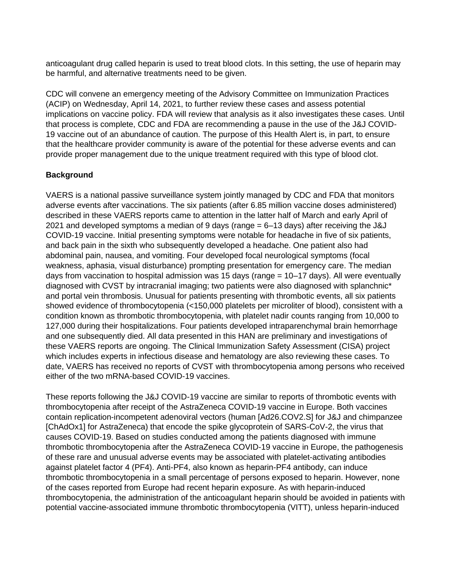anticoagulant drug called heparin is used to treat blood clots. In this setting, the use of heparin may be harmful, and alternative treatments need to be given.

CDC will convene an emergency meeting of the Advisory Committee on Immunization Practices (ACIP) on Wednesday, April 14, 2021, to further review these cases and assess potential implications on vaccine policy. FDA will review that analysis as it also investigates these cases. Until that process is complete, CDC and FDA are recommending a pause in the use of the J&J COVID-19 vaccine out of an abundance of caution. The purpose of this Health Alert is, in part, to ensure that the healthcare provider community is aware of the potential for these adverse events and can provide proper management due to the unique treatment required with this type of blood clot.

### **Background**

VAERS is a national passive surveillance system jointly managed by CDC and FDA that monitors adverse events after vaccinations. The six patients (after 6.85 million vaccine doses administered) described in these VAERS reports came to attention in the latter half of March and early April of 2021 and developed symptoms a median of 9 days (range = 6–13 days) after receiving the J&J COVID-19 vaccine. Initial presenting symptoms were notable for headache in five of six patients, and back pain in the sixth who subsequently developed a headache. One patient also had abdominal pain, nausea, and vomiting. Four developed focal neurological symptoms (focal weakness, aphasia, visual disturbance) prompting presentation for emergency care. The median days from vaccination to hospital admission was 15 days (range = 10–17 days). All were eventually diagnosed with CVST by intracranial imaging; two patients were also diagnosed with splanchnic\* and portal vein thrombosis. Unusual for patients presenting with thrombotic events, all six patients showed evidence of thrombocytopenia (<150,000 platelets per microliter of blood), consistent with a condition known as thrombotic thrombocytopenia, with platelet nadir counts ranging from 10,000 to 127,000 during their hospitalizations. Four patients developed intraparenchymal brain hemorrhage and one subsequently died. All data presented in this HAN are preliminary and investigations of these VAERS reports are ongoing. The Clinical Immunization Safety Assessment (CISA) project which includes experts in infectious disease and hematology are also reviewing these cases. To date, VAERS has received no reports of CVST with thrombocytopenia among persons who received either of the two mRNA-based COVID-19 vaccines.

These reports following the J&J COVID-19 vaccine are similar to reports of thrombotic events with thrombocytopenia after receipt of the AstraZeneca COVID-19 vaccine in Europe. Both vaccines contain replication-incompetent adenoviral vectors (human [Ad26.COV2.S] for J&J and chimpanzee [ChAdOx1] for AstraZeneca) that encode the spike glycoprotein of SARS-CoV-2, the virus that causes COVID-19. Based on studies conducted among the patients diagnosed with immune thrombotic thrombocytopenia after the AstraZeneca COVID-19 vaccine in Europe, the pathogenesis of these rare and unusual adverse events may be associated with platelet-activating antibodies against platelet factor 4 (PF4). Anti-PF4, also known as heparin-PF4 antibody, can induce thrombotic thrombocytopenia in a small percentage of persons exposed to heparin. However, none of the cases reported from Europe had recent heparin exposure. As with heparin-induced thrombocytopenia, the administration of the anticoagulant heparin should be avoided in patients with potential vaccine-associated immune thrombotic thrombocytopenia (VITT), unless heparin-induced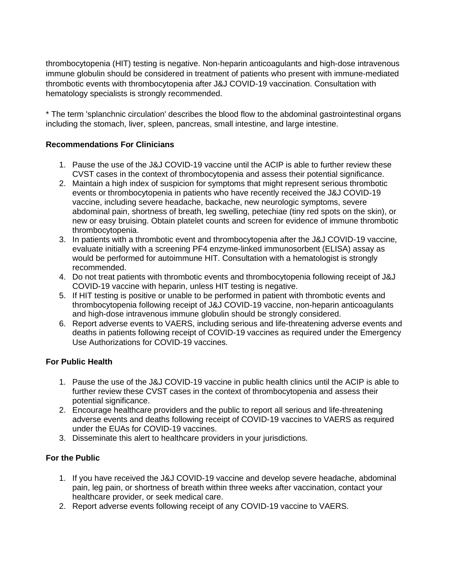thrombocytopenia (HIT) testing is negative. Non-heparin anticoagulants and high-dose intravenous immune globulin should be considered in treatment of patients who present with immune-mediated thrombotic events with thrombocytopenia after J&J COVID-19 vaccination. Consultation with hematology specialists is strongly recommended.

\* The term 'splanchnic circulation' describes the blood flow to the abdominal gastrointestinal organs including the stomach, liver, spleen, pancreas, small intestine, and large intestine.

#### **Recommendations For Clinicians**

- 1. Pause the use of the J&J COVID-19 vaccine until the ACIP is able to further review these CVST cases in the context of thrombocytopenia and assess their potential significance.
- 2. Maintain a high index of suspicion for symptoms that might represent serious thrombotic events or thrombocytopenia in patients who have recently received the J&J COVID-19 vaccine, including severe headache, backache, new neurologic symptoms, severe abdominal pain, shortness of breath, leg swelling, petechiae (tiny red spots on the skin), or new or easy bruising. Obtain platelet counts and screen for evidence of immune thrombotic thrombocytopenia.
- 3. In patients with a thrombotic event and thrombocytopenia after the J&J COVID-19 vaccine, evaluate initially with a screening PF4 enzyme-linked immunosorbent (ELISA) assay as would be performed for autoimmune HIT. Consultation with a hematologist is strongly recommended.
- 4. Do not treat patients with thrombotic events and thrombocytopenia following receipt of J&J COVID-19 vaccine with heparin, unless HIT testing is negative.
- 5. If HIT testing is positive or unable to be performed in patient with thrombotic events and thrombocytopenia following receipt of J&J COVID-19 vaccine, non-heparin anticoagulants and high-dose intravenous immune globulin should be strongly considered.
- 6. Report adverse events to VAERS, including serious and life-threatening adverse events and deaths in patients following receipt of COVID-19 vaccines as required under the Emergency Use Authorizations for COVID-19 vaccines.

#### **For Public Health**

- 1. Pause the use of the J&J COVID-19 vaccine in public health clinics until the ACIP is able to further review these CVST cases in the context of thrombocytopenia and assess their potential significance.
- 2. Encourage healthcare providers and the public to report all serious and life-threatening adverse events and deaths following receipt of COVID-19 vaccines to VAERS as required under the EUAs for COVID-19 vaccines.
- 3. Disseminate this alert to healthcare providers in your jurisdictions.

### **For the Public**

- 1. If you have received the J&J COVID-19 vaccine and develop severe headache, abdominal pain, leg pain, or shortness of breath within three weeks after vaccination, contact your healthcare provider, or seek medical care.
- 2. Report adverse events following receipt of any COVID-19 vaccine to VAERS.